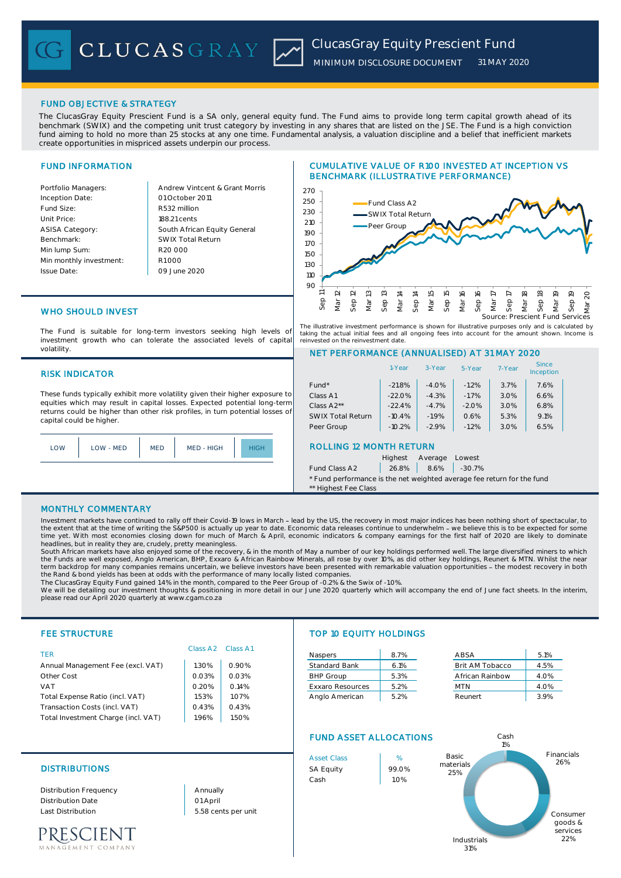# FUND OBJECTIVE & STRATEGY

The ClucasGray Equity Prescient Fund is a SA only, general equity fund. The Fund aims to provide long term capital growth ahead of its benchmark (SWIX) and the competing unit trust category by investing in any shares that are listed on the JSE. The Fund is a high conviction fund aiming to hold no more than 25 stocks at any one time. Fundamental analysis, a valuation discipline and a belief that inefficient markets create opportunities in mispriced assets underpin our process.

# FUND INFORMATION

Inception Date: Fund Size: R532 million Unit Price: ASISA Category: Benchmark: Min lump Sum: Min monthly investment: Issue Date:

Portfolio Managers: Andrew Vintcent & Grant Morris South African Equity General 188.21 cents R1 000 01 October 2011 09 June 2020 R20 000 SWIX Total Return

# CUMULATIVE VALUE OF R100 INVESTED AT INCEPTION VS BENCHMARK (ILLUSTRATIVE PERFORMANCE)



The illustrative investment performance is shown for illustrative purposes only and is calculated by taking the actual initial fees and all ongoing fees into account for the amount shown. Income is reinvested on the reinvestment date.

The Fund is suitable for long-term investors seeking high levels of investment growth who can tolerate the associated levels of capital volatility.

## RISK INDICATOR

WHO SHOULD INVEST

These funds typically exhibit more volatility given their higher exposure to equities which may result in capital losses. Expected potential long-term returns could be higher than other risk profiles, in turn potential losses of capital could be higher.



|                                | 1-Year   | 3-Year  | 5-Year  | 7-Year | Since<br>Inception |  |
|--------------------------------|----------|---------|---------|--------|--------------------|--|
| Fund <sup>*</sup>              | $-21.8%$ | $-4.0%$ | $-1.2%$ | 3.7%   | 7.6%               |  |
| Class A1                       | $-22.0%$ | $-4.3%$ | $-1.7%$ | 3.0%   | 6.6%               |  |
| Class A2**                     | $-22.4%$ | $-4.7%$ | $-2.0%$ | 3.0%   | 6.8%               |  |
| <b>SWIX Total Return</b>       | $-10.4%$ | $-1.9%$ | 0.6%    | 5.3%   | 9.1%               |  |
| Peer Group                     | $-10.2%$ | $-2.9%$ | $-1.2%$ | 3.0%   | 6.5%               |  |
| <b>ROLLING 12 MONTH RETURN</b> |          |         |         |        |                    |  |
|                                | Highest  | Average | Lowest  |        |                    |  |

Fund Class A2  $\vert$  26.8%  $\vert$  8.6%  $\vert$  -30.7% \* Fund performance is the net weighted average fee return for the fund

## MONTHLY COMMENTARY

Investment markets have continued to rally off their Covid-19 lows in March - lead by the US, the recovery in most major indices has been nothing short of spectacular, to the extent that at the time of writing the S&P500 is actually up year to date. Economic data releases continue to underwhelm - we believe this is to be expected for some<br>time yet. With most economies closing down for much

headlines, but in reality they are, crudely, pretty meaningless.<br>South African markets have also enjoyed some of the recovery, & in the month of May a number of our key holdings performed well. The large diversified miners term backdrop for many companies remains uncertain, we believe investors have been presented with remarkable valuation opportunities - the modest recovery in both the Rand & bond yields has been at odds with the performance of many locally listed companies. The ClucasGray Equity Fund gained 1.4% in the month, compared to the Peer Group of -0.2% & the Swix of -1.0%.

We will be detailing our investment thoughts & positioning in more detail in our June 2020 quarterly which will accompany the end of June fact sheets. In the interim, please read our April 2020 quarterly at www.cgam.co.za

## FEE STRUCTURE TOP 10 EQUITY HOLDINGS TER **Naspers 8.7% ABSA** 5.1% **B** 5.1% Annual Management Fee (excl. VAT) | 1.30% | 0.90% Standard Bank | 6.1% Brit AM Tobacco | 4.5% Other Cost **1.03%** 0.03% **Department of the Cost** 3.3% African Rainbow 1.0% 4.0% VAT 0.20% 0.14% Exxaro Resources 5.2% MTN 4.0% Total Expense Ratio (incl. VAT)  $\begin{array}{|c|c|c|c|c|c|c|c|c|} \hline \end{array}$  1.53% | 1.07% | Anglo American | 5.2% Reunert | 3.9% Transaction Costs (incl. VAT) 0.43% 0.43% Total Investment Charge (incl. VAT) | 1.96% | 1.50% FUND ASSET ALLOCATIONS Class A2 Class A1 Cash 1%

Distribution Frequency Distribution Date Last Distribution 5.58 cents per unit

PRESCIENT **EMENT COMPANY**  01 April Annually





NET PERFORMANCE (ANNUALISED) AT 31 MAY 2020

\*\* Highest Fee Class